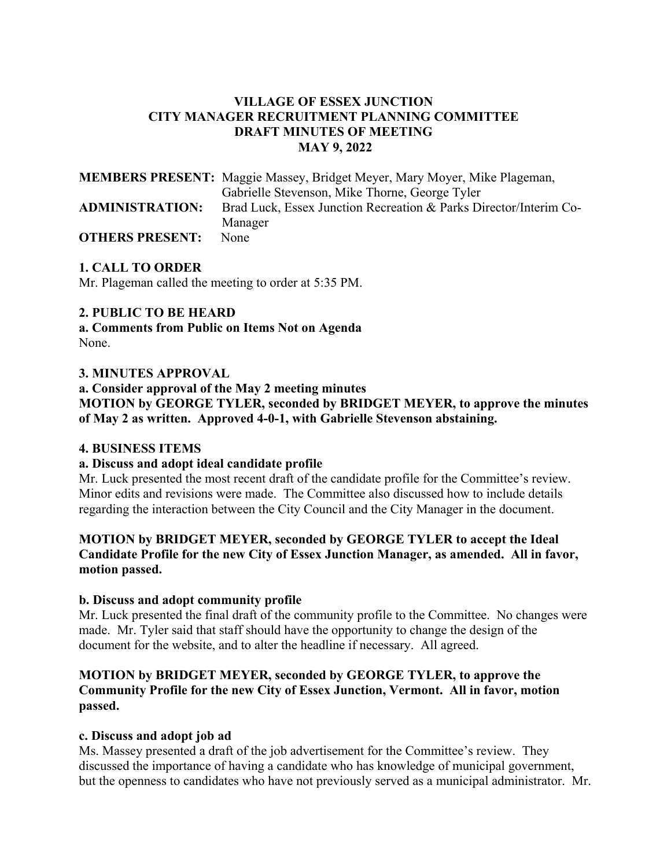# **VILLAGE OF ESSEX JUNCTION CITY MANAGER RECRUITMENT PLANNING COMMITTEE DRAFT MINUTES OF MEETING MAY 9, 2022**

|                        | <b>MEMBERS PRESENT:</b> Maggie Massey, Bridget Meyer, Mary Moyer, Mike Plageman, |
|------------------------|----------------------------------------------------------------------------------|
|                        | Gabrielle Stevenson, Mike Thorne, George Tyler                                   |
| <b>ADMINISTRATION:</b> | Brad Luck, Essex Junction Recreation & Parks Director/Interim Co-                |
|                        | Manager                                                                          |
| <b>OTHERS PRESENT:</b> | None                                                                             |

## **1. CALL TO ORDER**

Mr. Plageman called the meeting to order at 5:35 PM.

## **2. PUBLIC TO BE HEARD**

**a. Comments from Public on Items Not on Agenda**  None.

## **3. MINUTES APPROVAL**

**a. Consider approval of the May 2 meeting minutes MOTION by GEORGE TYLER, seconded by BRIDGET MEYER, to approve the minutes of May 2 as written. Approved 4-0-1, with Gabrielle Stevenson abstaining.**

## **4. BUSINESS ITEMS**

#### **a. Discuss and adopt ideal candidate profile**

Mr. Luck presented the most recent draft of the candidate profile for the Committee's review. Minor edits and revisions were made. The Committee also discussed how to include details regarding the interaction between the City Council and the City Manager in the document.

## **MOTION by BRIDGET MEYER, seconded by GEORGE TYLER to accept the Ideal Candidate Profile for the new City of Essex Junction Manager, as amended. All in favor, motion passed.**

## **b. Discuss and adopt community profile**

Mr. Luck presented the final draft of the community profile to the Committee. No changes were made. Mr. Tyler said that staff should have the opportunity to change the design of the document for the website, and to alter the headline if necessary. All agreed.

## **MOTION by BRIDGET MEYER, seconded by GEORGE TYLER, to approve the Community Profile for the new City of Essex Junction, Vermont. All in favor, motion passed.**

## **c. Discuss and adopt job ad**

Ms. Massey presented a draft of the job advertisement for the Committee's review. They discussed the importance of having a candidate who has knowledge of municipal government, but the openness to candidates who have not previously served as a municipal administrator. Mr.